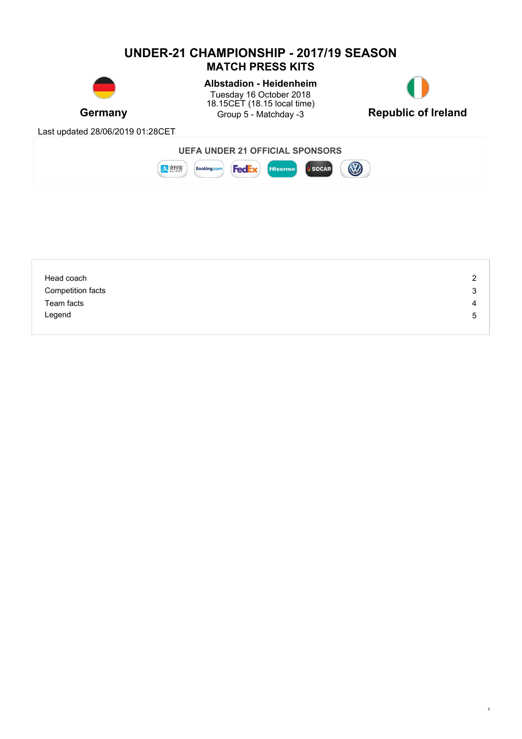### **UNDER-21 CHAMPIONSHIP - 2017/19 SEASON MATCH PRESS KITS**



**Germany** Group 5 - Matchday -3 Republic of Ireland **Albstadion - Heidenheim** Tuesday 16 October 2018 18.15CET (18.15 local time)



1

Last updated 28/06/2019 01:28CET



| Head coach        | 2 |
|-------------------|---|
| Competition facts | 3 |
| Team facts        | 4 |
| Legend            | 5 |
|                   |   |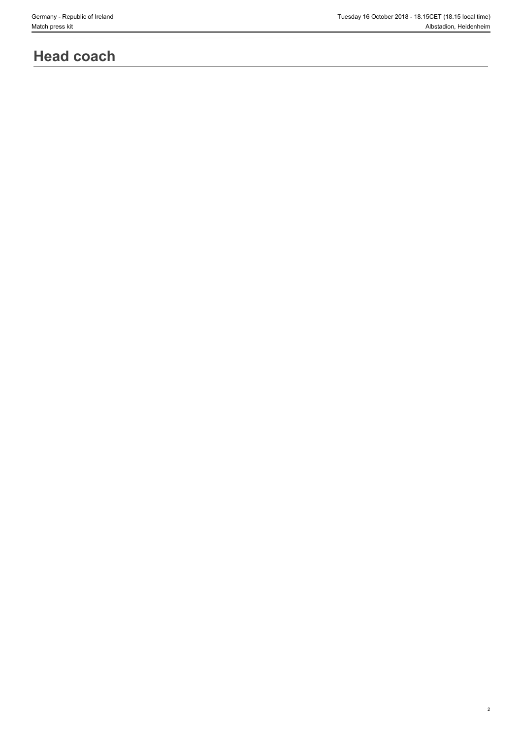2

# **Head coach**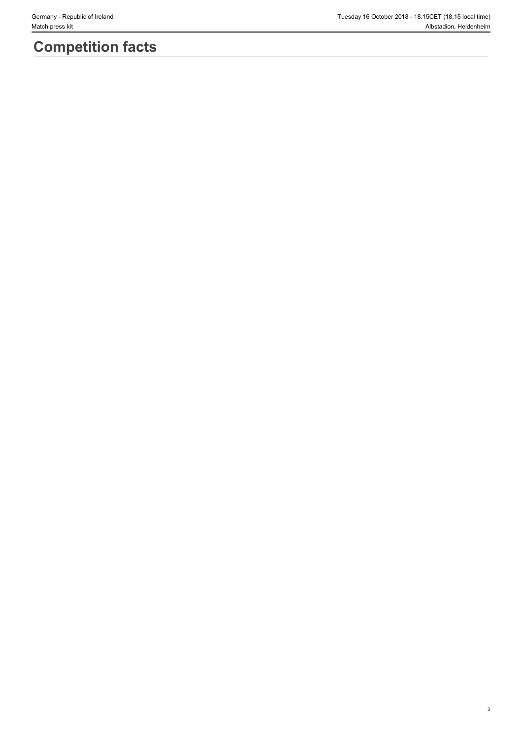# **Competition facts**

3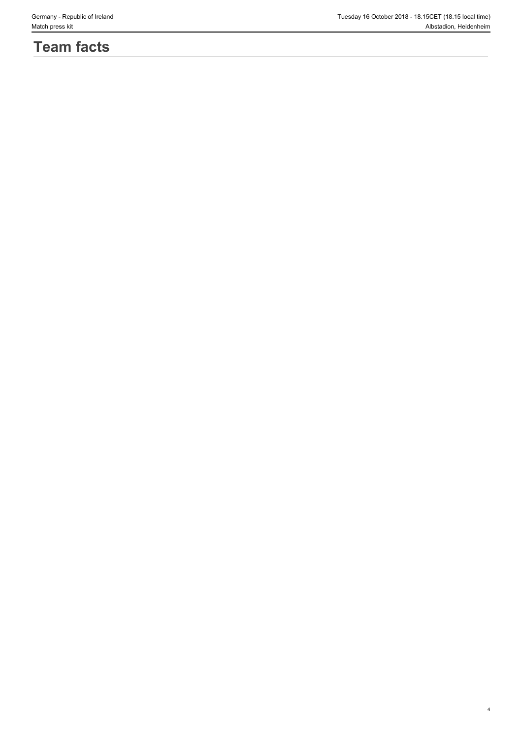# **Team facts**

4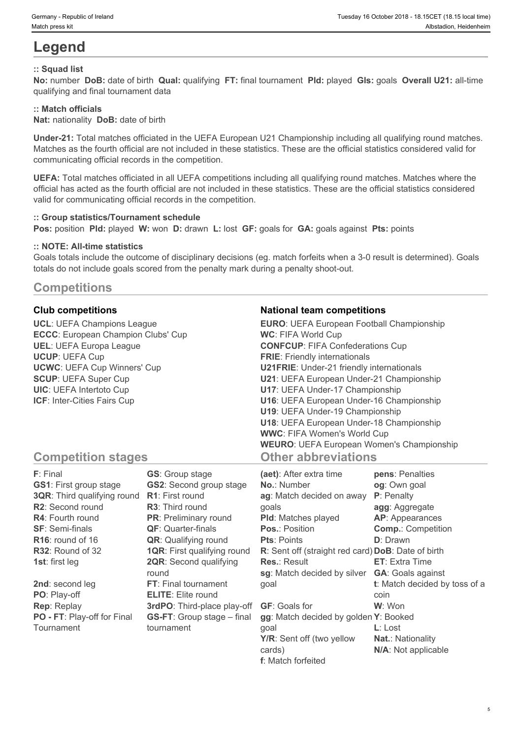# **Legend**

#### **:: Squad list**

**No:** number **DoB:** date of birth **Qual:** qualifying **FT:** final tournament **Pld:** played **Gls:** goals **Overall U21:** all-time qualifying and final tournament data

### **:: Match officials**

**Nat:** nationality **DoB:** date of birth

**Under-21:** Total matches officiated in the UEFA European U21 Championship including all qualifying round matches. Matches as the fourth official are not included in these statistics. These are the official statistics considered valid for communicating official records in the competition.

**UEFA:** Total matches officiated in all UEFA competitions including all qualifying round matches. Matches where the official has acted as the fourth official are not included in these statistics. These are the official statistics considered valid for communicating official records in the competition.

#### **:: Group statistics/Tournament schedule**

**Pos:** position **Pld:** played **W:** won **D:** drawn **L:** lost **GF:** goals for **GA:** goals against **Pts:** points

#### **:: NOTE: All-time statistics**

Goals totals include the outcome of disciplinary decisions (eg. match forfeits when a 3-0 result is determined). Goals totals do not include goals scored from the penalty mark during a penalty shoot-out.

### **Competitions**

**UCL**: UEFA Champions League **ECCC**: European Champion Clubs' Cup **UEL**: UEFA Europa League **UCUP**: UEFA Cup **UCWC**: UEFA Cup Winners' Cup **SCUP**: UEFA Super Cup **UIC**: UEFA Intertoto Cup **ICF**: Inter-Cities Fairs Cup

#### **Club competitions National team competitions**

| <b>EURO:</b> UEFA European Football Championship |  |
|--------------------------------------------------|--|
| <b>WC: FIFA World Cup</b>                        |  |
| <b>CONFCUP: FIFA Confederations Cup</b>          |  |
| <b>FRIE:</b> Friendly internationals             |  |
| <b>U21FRIE:</b> Under-21 friendly internationals |  |
| U21: UEFA European Under-21 Championship         |  |
| U17: UEFA Under-17 Championship                  |  |
| U16: UEFA European Under-16 Championship         |  |
| U19: UEFA Under-19 Championship                  |  |
| U18: UEFA European Under-18 Championship         |  |
| <b>WWC: FIFA Women's World Cup</b>               |  |
| <b>WEURO:</b> UEFA European Women's Championship |  |
| <b>Other abbreviations</b>                       |  |

5

### **Competition stages**

| F: Final                           | <b>GS:</b> Group stage             | (aet): After extra time                            | pens: Penalties               |
|------------------------------------|------------------------------------|----------------------------------------------------|-------------------------------|
| <b>GS1:</b> First group stage      | <b>GS2:</b> Second group stage     | <b>No.: Number</b>                                 | og: Own goal                  |
| <b>3QR:</b> Third qualifying round | <b>R1:</b> First round             | ag: Match decided on away                          | P: Penalty                    |
| R2: Second round                   | <b>R3:</b> Third round             | qoals                                              | agg: Aggregate                |
| <b>R4: Fourth round</b>            | <b>PR:</b> Preliminary round       | <b>PId:</b> Matches played                         | <b>AP:</b> Appearances        |
| <b>SF: Semi-finals</b>             | <b>QF:</b> Quarter-finals          | <b>Pos.: Position</b>                              | <b>Comp.: Competition</b>     |
| $R16$ : round of 16                | <b>QR:</b> Qualifying round        | <b>Pts: Points</b>                                 | <b>D</b> : Drawn              |
| R32: Round of 32                   | <b>1QR:</b> First qualifying round | R: Sent off (straight red card) DoB: Date of birth |                               |
| <b>1st:</b> first leg              | <b>2QR:</b> Second qualifying      | <b>Res.: Result</b>                                | <b>ET:</b> Extra Time         |
|                                    | round                              | sg: Match decided by silver                        | <b>GA: Goals against</b>      |
| 2nd: second leg                    | FT: Final tournament               | goal                                               | t: Match decided by toss of a |
| PO: Play-off                       | <b>ELITE:</b> Elite round          |                                                    | coin                          |
| <b>Rep: Replay</b>                 | 3rdPO: Third-place play-off        | <b>GF:</b> Goals for                               | W: Won                        |
| PO - FT: Play-off for Final        | <b>GS-FT:</b> Group stage – final  | gg: Match decided by golden Y: Booked              |                               |
| Tournament                         | tournament                         | goal                                               | $L:$ Lost                     |
|                                    |                                    | Y/R: Sent off (two yellow                          | <b>Nat.: Nationality</b>      |
|                                    |                                    | cards)                                             | N/A: Not applicable           |

**f**: Match forfeited